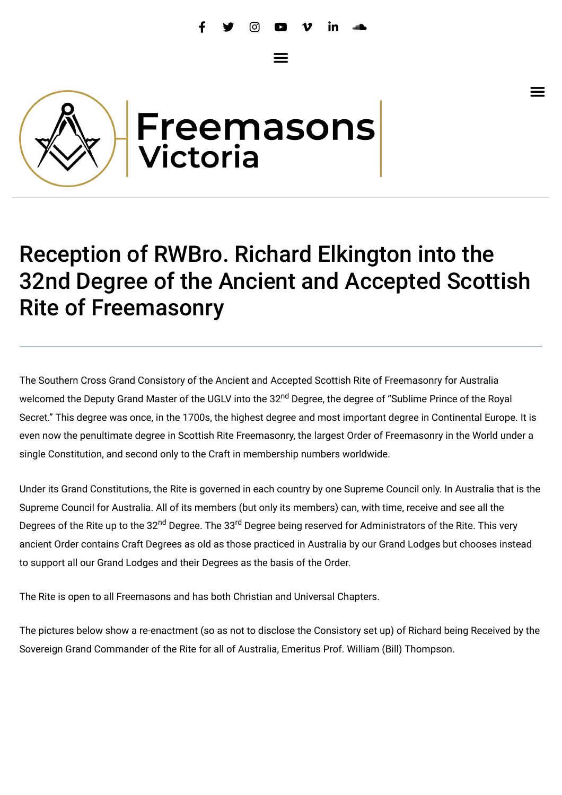$\equiv$ 

 $\equiv$ 



## Reception of RWBro. Richard Elkington into the 32nd Degree of the Ancient and Accepted Scottish Rite of Freemasonry

The Southern Cross Grand Consistory of the Ancient and Accepted Scottish Rite of Freemasonry for Australia welcomed the Deputy Grand Master of the UGLV into the 32<sup>nd</sup> Degree, the degree of "Sublime Prince of the Royal Secret." This degree was once, in the 1700s, the highest degree and most important degree in Continental Europe. It is even now the penultimate degree in Scottish Rite Freemasonry, the largest Order of Freemasonry in the World under a single Constitution, and second only to the Craft in membership numbers worldwide.

Under its Grand Constitutions, the Rite is governed in each country by one Supreme Council only. In Australia that is the Supreme Council for Australia. All of its members (but only its members) can, with time, receive and see all the Degrees of the Rite up to the 32<sup>nd</sup> Degree. The 33<sup>rd</sup> Degree being reserved for Administrators of the Rite. This very ancient Order contains Craft Degrees as old as those practiced in Australia by our Grand Lodges but chooses instead to support all our Grand Lodges and their Degrees as the basis of the Order.

The Rite is open to all Freemasons and has both Christian and Universal Chapters.

The pictures below show a re-enactment (so as not to disclose the Consistory set up) of Richard being Received by the Sovereign Grand Commander of the Rite for all of Australia, Emeritus Prof. William (Bill) Thompson.